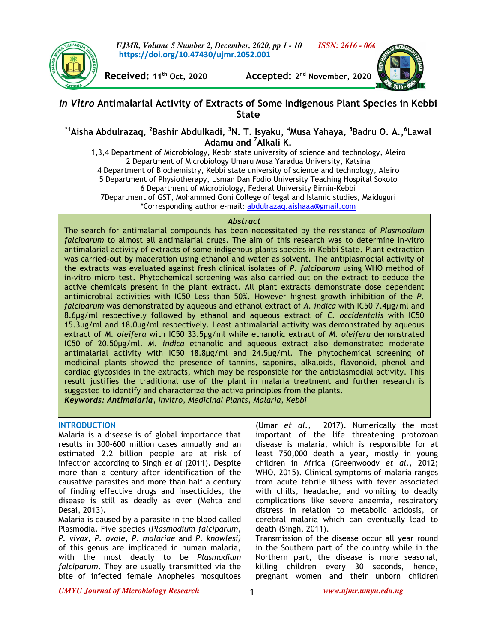

*UJMR, Volume 5 Number 2, December, 2020, pp 1 - 10 ISSN: 2616 - 066*  **https://doi.org/10.47430/ujmr.2052.001**



**Received: 11th Oct, 2020 Accepted: 2 nd November, 2020** 

# *In Vitro* **Antimalarial Activity of Extracts of Some Indigenous Plant Species in Kebbi State**

# **\*1Aisha Abdulrazaq, <sup>2</sup> Bashir Abdulkadi, <sup>3</sup>N. T. Isyaku, <sup>4</sup>Musa Yahaya, <sup>5</sup> Badru O. A.,<sup>6</sup> Lawal Adamu and <sup>7</sup>Alkali K.**

1,3,4 Department of Microbiology, Kebbi state university of science and technology, Aleiro 2 Department of Microbiology Umaru Musa Yaradua University, Katsina 4 Department of Biochemistry, Kebbi state university of science and technology, Aleiro 5 Department of Physiotherapy, Usman Dan Fodio University Teaching Hospital Sokoto 6 Department of Microbiology, Federal University Birnin-Kebbi 7Department of GST, Mohammed Goni College of legal and Islamic studies, Maiduguri \*Corresponding author e-mail: abdulrazaq.aishaaa@gmail.com

#### *Abstract*

The search for antimalarial compounds has been necessitated by the resistance of *Plasmodium falciparum* to almost all antimalarial drugs. The aim of this research was to determine in-vitro antimalarial activity of extracts of some indigenous plants species in Kebbi State. Plant extraction was carried-out by maceration using ethanol and water as solvent. The antiplasmodial activity of the extracts was evaluated against fresh clinical isolates of *P. falciparum* using WHO method of in-vitro micro test. Phytochemical screening was also carried out on the extract to deduce the active chemicals present in the plant extract. All plant extracts demonstrate dose dependent antimicrobial activities with IC50 Less than 50%. However highest growth inhibition of the *P. falciparum* was demonstrated by aqueous and ethanol extract of *A. indica* with IC50 7.4µg/ml and 8.6µg/ml respectively followed by ethanol and aqueous extract of *C. occidentalis* with IC50 15.3µg/ml and 18.0µg/ml respectively. Least antimalarial activity was demonstrated by aqueous extract of *M. oleifera* with IC50 33.5µg/ml while ethanolic extract of *M. oleifera* demonstrated IC50 of 20.50µg/ml. *M. indica* ethanolic and aqueous extract also demonstrated moderate antimalarial activity with IC50 18.8µg/ml and 24.5µg/ml. The phytochemical screening of medicinal plants showed the presence of tannins, saponins, alkaloids, flavonoid, phenol and cardiac glycosides in the extracts, which may be responsible for the antiplasmodial activity. This result justifies the traditional use of the plant in malaria treatment and further research is suggested to identify and characterize the active principles from the plants. *Keywords: Antimalaria, Invitro, Medicinal Plants, Malaria, Kebbi* 

# **INTRODUCTION**

Malaria is a disease is of global importance that results in 300-600 million cases annually and an estimated 2.2 billion people are at risk of infection according to Singh *et al* (2011). Despite more than a century after identification of the causative parasites and more than half a century of finding effective drugs and insecticides, the disease is still as deadly as ever (Mehta and Desai, 2013).

Malaria is caused by a parasite in the blood called Plasmodia. Five species (*Plasmodium falciparum*, *P. vivax, P. ovale*, *P. malariae* and *P*. *knowlesi)*  of this genus are implicated in human malaria, with the most deadly to be *Plasmodium falciparum*. They are usually transmitted via the bite of infected female Anopheles mosquitoes

(Umar *et al.,* 2017). Numerically the most important of the life threatening protozoan disease is malaria, which is responsible for at least 750,000 death a year, mostly in young children in Africa (Greenwoodv *et al.,* 2012; WHO, 2015). Clinical symptoms of malaria ranges from acute febrile illness with fever associated with chills, headache, and vomiting to deadly complications like severe anaemia, respiratory distress in relation to metabolic acidosis, or cerebral malaria which can eventually lead to death (Singh, 2011).

Transmission of the disease occur all year round in the Southern part of the country while in the Northern part, the disease is more seasonal, killing children every 30 seconds, hence, pregnant women and their unborn children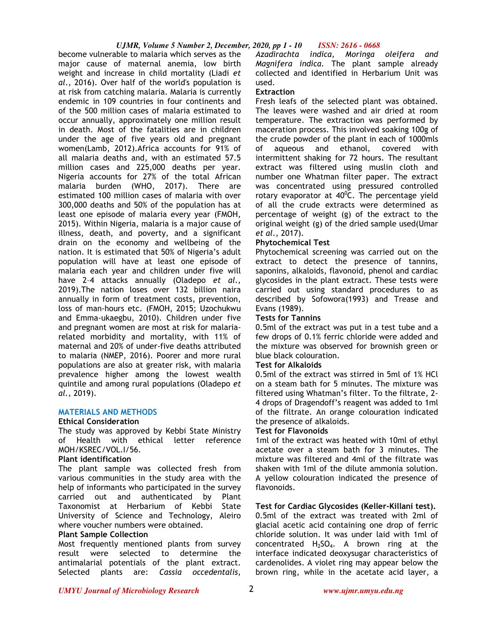#### *UJMR, Volume 5 Number 2, December, 2020, pp 1 - 10 ISSN: 2616 - 0668*

become vulnerable to malaria which serves as the major cause of maternal anemia, low birth weight and increase in child mortality (Liadi *et al.,* 2016). Over half of the world's population is at risk from catching malaria. Malaria is currently endemic in 109 countries in four continents and of the 500 million cases of malaria estimated to occur annually, approximately one million result in death. Most of the fatalities are in children under the age of five years old and pregnant women(Lamb, 2012).Africa accounts for 91% of all malaria deaths and, with an estimated 57.5 million cases and 225,000 deaths per year. Nigeria accounts for 27% of the total African malaria burden (WHO, 2017). There are estimated 100 million cases of malaria with over 300,000 deaths and 50% of the population has at least one episode of malaria every year (FMOH, 2015). Within Nigeria, malaria is a major cause of illness, death, and poverty, and a significant drain on the economy and wellbeing of the nation. It is estimated that 50% of Nigeria's adult population will have at least one episode of malaria each year and children under five will have 2–4 attacks annually (Oladepo *et al.,* 2019).The nation loses over 132 billion naira annually in form of treatment costs, prevention, loss of man-hours etc. (FMOH, 2015; Uzochukwu and Emma-ukaegbu, 2010). Children under five and pregnant women are most at risk for malariarelated morbidity and mortality, with 11% of maternal and 20% of under-five deaths attributed to malaria (NMEP, 2016). Poorer and more rural populations are also at greater risk, with malaria prevalence higher among the lowest wealth quintile and among rural populations (Oladepo *et al.,* 2019).

# **MATERIALS AND METHODS**

#### **Ethical Consideration**

The study was approved by Kebbi State Ministry of Health with ethical letter reference MOH/KSREC/VOL.I/56.

#### **Plant identification**

The plant sample was collected fresh from various communities in the study area with the help of informants who participated in the survey carried out and authenticated by Plant Taxonomist at Herbarium of Kebbi State University of Science and Technology, Aleiro where voucher numbers were obtained.

# **Plant Sample Collection**

Most frequently mentioned plants from survey result were selected to determine the antimalarial potentials of the plant extract. Selected plants are: *Cassia occedentalis,* 

*Azadirachta indica, Moringa oleifera and Magnifera indica.* The plant sample already collected and identified in Herbarium Unit was used.

# **Extraction**

Fresh leafs of the selected plant was obtained. The leaves were washed and air dried at room temperature. The extraction was performed by maceration process. This involved soaking 100g of the crude powder of the plant in each of 1000mls of aqueous and ethanol, covered with intermittent shaking for 72 hours. The resultant extract was filtered using muslin cloth and number one Whatman filter paper. The extract was concentrated using pressured controlled rotary evaporator at  $40^{\circ}$ C. The percentage yield of all the crude extracts were determined as percentage of weight (g) of the extract to the original weight (g) of the dried sample used(Umar *et al.,* 2017).

# **Phytochemical Test**

Phytochemical screening was carried out on the extract to detect the presence of tannins, saponins, alkaloids, flavonoid, phenol and cardiac glycosides in the plant extract. These tests were carried out using standard procedures to as described by Sofowora(1993) and Trease and Evans (1989).

#### **Tests for Tannins**

0.5ml of the extract was put in a test tube and a few drops of 0.1% ferric chloride were added and the mixture was observed for brownish green or blue black colouration.

# **Test for Alkaloids**

0.5ml of the extract was stirred in 5ml of 1% HCl on a steam bath for 5 minutes. The mixture was filtered using Whatman's filter. To the filtrate, 2- 4 drops of Dragendoff's reagent was added to 1ml of the filtrate. An orange colouration indicated the presence of alkaloids.

#### **Test for Flavonoids**

1ml of the extract was heated with 10ml of ethyl acetate over a steam bath for 3 minutes. The mixture was filtered and 4ml of the filtrate was shaken with 1ml of the dilute ammonia solution. A yellow colouration indicated the presence of flavonoids.

# **Test for Cardiac Glycosides (Keller-Killani test).**

0.5ml of the extract was treated with 2ml of glacial acetic acid containing one drop of ferric chloride solution. It was under laid with 1ml of concentrated  $H_2SO_4$ . A brown ring at the interface indicated deoxysugar characteristics of cardenolides. A violet ring may appear below the brown ring, while in the acetate acid layer, a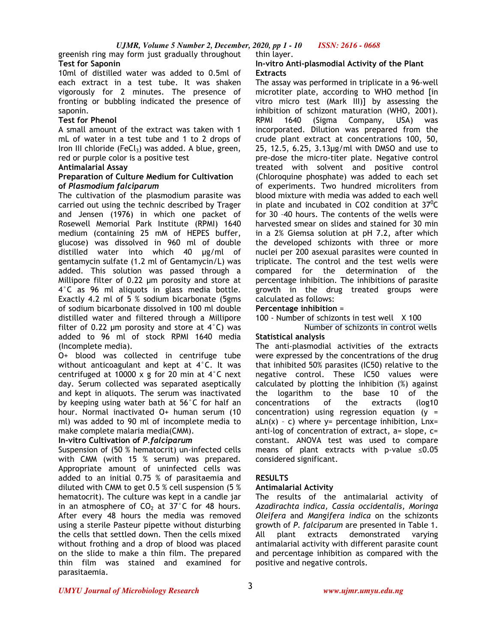greenish ring may form just gradually throughout thin layer. **Test for Saponin** 

10ml of distilled water was added to 0.5ml of each extract in a test tube. It was shaken vigorously for 2 minutes. The presence of fronting or bubbling indicated the presence of saponin.

# **Test for Phenol**

A small amount of the extract was taken with 1 mL of water in a test tube and 1 to 2 drops of Iron III chloride (FeCl<sub>3</sub>) was added. A blue, green, red or purple color is a positive test

#### **Antimalarial Assay**

#### **Preparation of Culture Medium for Cultivation of** *Plasmodium falciparum*

The cultivation of the plasmodium parasite was carried out using the technic described by Trager and Jensen (1976) in which one packet of Rosewell Memorial Park Institute (RPMI) 1640 medium (containing 25 mM of HEPES buffer, glucose) was dissolved in 960 ml of double distilled water into which 40 µg/ml of gentamycin sulfate (1.2 ml of Gentamycin/L) was added. This solution was passed through a Millipore filter of 0.22 µm porosity and store at 4°C as 96 ml aliquots in glass media bottle. Exactly 4.2 ml of 5 % sodium bicarbonate (5gms of sodium bicarbonate dissolved in 100 ml double distilled water and filtered through a Millipore filter of 0.22  $\mu$ m porosity and store at 4°C) was added to 96 ml of stock RPMI 1640 media (Incomplete media).

O+ blood was collected in centrifuge tube without anticoagulant and kept at 4°C. It was centrifuged at 10000 x g for 20 min at 4°C next day. Serum collected was separated aseptically and kept in aliquots. The serum was inactivated by keeping using water bath at 56°C for half an hour. Normal inactivated O+ human serum (10 ml) was added to 90 ml of incomplete media to make complete malaria media(CMM).

# **In-vitro Cultivation of** *P.falciparum*

Suspension of (50 % hematocrit) un-infected cells with CMM (with 15 % serum) was prepared. Appropriate amount of uninfected cells was added to an initial 0.75 % of parasitaemia and diluted with CMM to get 0.5 % cell suspension (5 % hematocrit). The culture was kept in a candle jar in an atmosphere of  $CO<sub>2</sub>$  at 37°C for 48 hours. After every 48 hours the media was removed using a sterile Pasteur pipette without disturbing the cells that settled down. Then the cells mixed without frothing and a drop of blood was placed on the slide to make a thin film. The prepared thin film was stained and examined for parasitaemia.

# **In-vitro Anti-plasmodial Activity of the Plant Extracts**

The assay was performed in triplicate in a 96-well microtiter plate, according to WHO method [in vitro micro test (Mark III)] by assessing the inhibition of schizont maturation (WHO, 2001). RPMI 1640 (Sigma Company, USA) was incorporated. Dilution was prepared from the crude plant extract at concentrations 100, 50, 25, 12.5, 6.25, 3.13µg/ml with DMSO and use to pre-dose the micro-titer plate. Negative control treated with solvent and positive control (Chloroquine phosphate) was added to each set of experiments. Two hundred microliters from blood mixture with media was added to each well in plate and incubated in CO2 condition at  $37^{\circ}$ C for 30 –40 hours. The contents of the wells were harvested smear on slides and stained for 30 min in a 2% Giemsa solution at pH 7.2, after which the developed schizonts with three or more nuclei per 200 asexual parasites were counted in triplicate. The control and the test wells were compared for the determination of the percentage inhibition. The inhibitions of parasite growth in the drug treated groups were calculated as follows:

#### **Percentage inhibition** =

100 - Number of schizonts in test well X 100

Number of schizonts in control wells

# **Statistical analysis**

The anti-plasmodial activities of the extracts were expressed by the concentrations of the drug that inhibited 50% parasites (IC50) relative to the negative control. These IC50 values were calculated by plotting the inhibition (%) against the logarithm to the base 10 of the concentrations of the extracts (log10 concentration) using regression equation  $(y =$  $aln(x) - c$ ) where  $y =$  percentage inhibition,  $Lnx =$ anti-log of concentration of extract,  $a=$  slope,  $c=$ constant. ANOVA test was used to compare means of plant extracts with p-value ≤0.05 considered significant.

# **RESULTS**

# **Antimalarial Activity**

The results of the antimalarial activity of *Azadirachta indica, Cassia occidentalis, Moringa Oleifera* and *Mangifera indica* on the schizonts growth of *P. falciparum* are presented in Table 1. All plant extracts demonstrated varying antimalarial activity with different parasite count and percentage inhibition as compared with the positive and negative controls.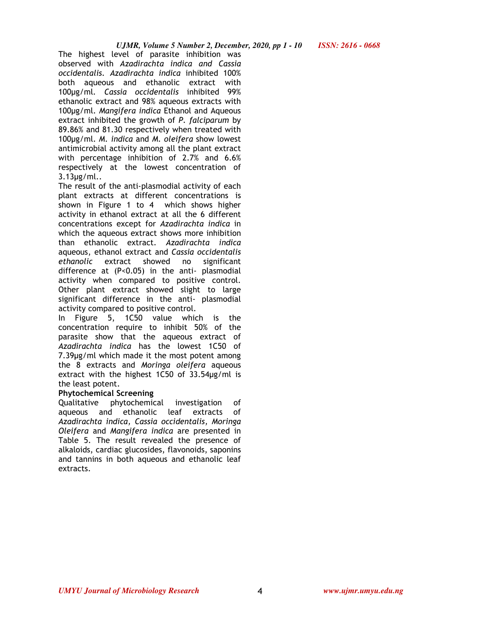The highest level of parasite inhibition was observed with *Azadirachta indica and Cassia occidentalis. Azadirachta indica* inhibited 100% both aqueous and ethanolic extract with 100µg/ml*. Cassia occidentalis* inhibited 99% ethanolic extract and 98% aqueous extracts with 100µg/ml. *Mangifera indica* Ethanol and Aqueous extract inhibited the growth of *P. falciparum* by 89.86% and 81.30 respectively when treated with 100µg/ml. *M. indica* and *M. oleifera* show lowest antimicrobial activity among all the plant extract with percentage inhibition of 2.7% and 6.6% respectively at the lowest concentration of 3.13µg/ml..

The result of the anti-plasmodial activity of each plant extracts at different concentrations is shown in Figure 1 to 4 which shows higher activity in ethanol extract at all the 6 different concentrations except for *Azadirachta indica* in which the aqueous extract shows more inhibition than ethanolic extract. *Azadirachta indica* aqueous, ethanol extract and *Cassia occidentalis ethanolic* extract showed no significant difference at (P<0.05) in the anti- plasmodial activity when compared to positive control. Other plant extract showed slight to large significant difference in the anti- plasmodial activity compared to positive control.

In Figure 5, 1C50 value which is the concentration require to inhibit 50% of the parasite show that the aqueous extract of *Azadirachta indica* has the lowest 1C50 of 7.39µg/ml which made it the most potent among the 8 extracts and *Moringa oleifera* aqueous extract with the highest 1C50 of 33.54µg/ml is the least potent.

# **Phytochemical Screening**

Qualitative phytochemical investigation of aqueous and ethanolic leaf extracts of *Azadirachta indica, Cassia occidentalis, Moringa Oleifera* and *Mangifera indica* are presented in Table 5. The result revealed the presence of alkaloids, cardiac glucosides, flavonoids, saponins and tannins in both aqueous and ethanolic leaf extracts.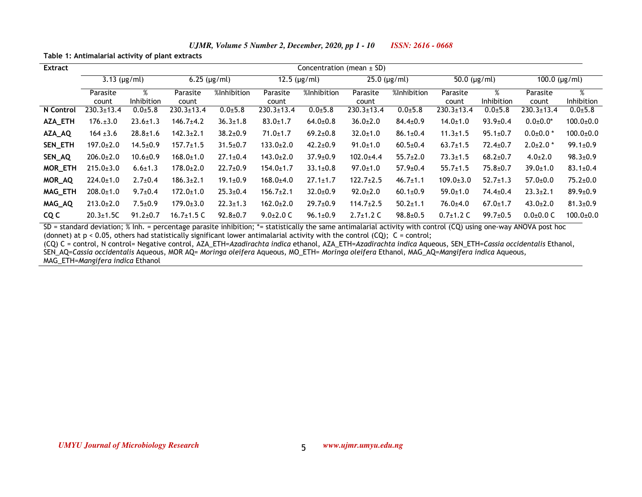| <b>Extract</b> | Concentration (mean $\pm$ SD) |                 |                      |                |                      |                |                      |                |                   |                 |                       |                 |
|----------------|-------------------------------|-----------------|----------------------|----------------|----------------------|----------------|----------------------|----------------|-------------------|-----------------|-----------------------|-----------------|
|                | $3.13$ (µg/ml)                |                 | $6.25$ ( $\mu$ g/ml) |                | $12.5$ ( $\mu$ g/ml) |                | $25.0$ ( $\mu$ g/ml) |                | 50.0 $(\mu g/ml)$ |                 | $100.0$ ( $\mu$ g/ml) |                 |
|                | Parasite<br>count             | %<br>Inhibition | Parasite<br>count    | %Inhibition    | Parasite<br>count    | %Inhibition    | Parasite<br>count    | %Inhibition    | Parasite<br>count | %<br>Inhibition | Parasite<br>count     | %<br>Inhibition |
| N Control      | $230.3 \pm 13.4$              | $0.0 + 5.8$     | $230.3 \pm 13.4$     | $0.0 + 5.8$    | $230.3 \pm 13.4$     | $0.0 + 5.8$    | $230.3 \pm 13.4$     | $0.0 + 5.8$    | $230.3 \pm 13.4$  | $0.0 + 5.8$     | $230.3 \pm 13.4$      | $0.0 + 5.8$     |
| AZA_ETH        | $176. \pm 3.0$                | $23.6 \pm 1.3$  | $146.7 \pm 4.2$      | $36.3 \pm 1.8$ | $83.0 \pm 1.7$       | $64.0{\pm}0.8$ | $36.0{\pm}2.0$       | $84.4 \pm 0.9$ | $14.0 \pm 1.0$    | $93.9 \pm 0.4$  | $0.0 + 0.0*$          | $100.0 \pm 0.0$ |
| AZA_AQ         | $164 \pm 3.6$                 | $28.8 \pm 1.6$  | $142.3 \pm 2.1$      | $38.2{\pm}0.9$ | $71.0 \pm 1.7$       | $69.2{\pm}0.8$ | $32.0 \pm 1.0$       | $86.1 \pm 0.4$ | $11.3 \pm 1.5$    | $95.1 \pm 0.7$  | $0.0{\pm}0.0*$        | $100.0 \pm 0.0$ |
| SEN_ETH        | $197.0 \pm 2.0$               | $14.5 \pm 0.9$  | $157.7 \pm 1.5$      | $31.5 \pm 0.7$ | $133.0 \pm 2.0$      | $42.2 \pm 0.9$ | $91.0 \pm 1.0$       | $60.5 \pm 0.4$ | $63.7 \pm 1.5$    | $72.4 \pm 0.7$  | $2.0 \pm 2.0$ *       | $99.1 \pm 0.9$  |
| SEN_AQ         | $206.0{\pm}2.0$               | $10.6 \pm 0.9$  | $168.0 \pm 1.0$      | $27.1 \pm 0.4$ | $143.0 \pm 2.0$      | $37.9 \pm 0.9$ | $102.0 \pm 4.4$      | $55.7 \pm 2.0$ | $73.3 \pm 1.5$    | $68.2{\pm}0.7$  | $4.0{\pm}2.0$         | $98.3{\pm}0.9$  |
| MOR_ETH        | $215.0 \pm 3.0$               | $6.6 \pm 1.3$   | $178.0 \pm 2.0$      | $22.7 \pm 0.9$ | $154.0 \pm 1.7$      | $33.1 \pm 0.8$ | $97.0 \pm 1.0$       | $57.9 \pm 0.4$ | $55.7 \pm 1.5$    | $75.8 \pm 0.7$  | $39.0 \pm 1.0$        | $83.1 \pm 0.4$  |
| MOR_AQ         | $224.0 \pm 1.0$               | $2.7 \pm 0.4$   | $186.3{\pm}2.1$      | $19.1 \pm 0.9$ | $168.0{\pm}4.0$      | $27.1 \pm 1.7$ | $122.7 \pm 2.5$      | $46.7 \pm 1.1$ | $109.0 \pm 3.0$   | $52.7 \pm 1.3$  | $57.0{\pm}0.0$        | $75.2{\pm}0.0$  |
| MAG_ETH        | $208.0 \pm 1.0$               | $9.7 \pm 0.4$   | $172.0 \pm 1.0$      | $25.3 \pm 0.4$ | $156.7 \pm 2.1$      | $32.0 \pm 0.9$ | $92.0 \pm 2.0$       | $60.1 \pm 0.9$ | $59.0 \pm 1.0$    | $74.4 \pm 0.4$  | $23.3 \pm 2.1$        | $89.9 \pm 0.9$  |
| MAG_AQ         | $213.0 \pm 2.0$               | $7.5 \pm 0.9$   | $179.0 \pm 3.0$      | $22.3 \pm 1.3$ | $162.0 \pm 2.0$      | $29.7 \pm 0.9$ | $114.7 \pm 2.5$      | $50.2 \pm 1.1$ | $76.0 \pm 4.0$    | $67.0 \pm 1.7$  | $43.0 \pm 2.0$        | $81.3 \pm 0.9$  |
| CQ C           | $20.3 \pm 1.5C$               | $91.2 \pm 0.7$  | 16.7 $±1.5$ C        | $92.8 \pm 0.7$ | $9.0 \pm 2.0$ C      | $96.1 \pm 0.9$ | $2.7 \pm 1.2$ C      | $98.8 \pm 0.5$ | $0.7 \pm 1.2$ C   | $99.7 \pm 0.5$  | $0.0 + 0.0 C$         | $100.0 \pm 0.0$ |

*UJMR, Volume 5 Number 2, December, 2020, pp 1 - 10 ISSN: 2616 - 0668*

**Table 1: Antimalarial activity of plant extracts**

SD = standard deviation; % Inh. = percentage parasite inhibition; \*= statistically the same antimalarial activity with control (CQ) using one-way ANOVA post hoc (donnet) at  $p < 0.05$ , others had statistically significant lower antimalarial activity with the control (CQ);  $C =$  control;

5

(CQ) C = control, N control= Negative control, AZA\_ETH=*Azadirachta indica* ethanol, AZA\_ETH=*Azadirachta indica* Aqueous, SEN\_ETH=*Cassia occidentalis* Ethanol,

SEN\_AQ=*Cassia occidentalis* Aqueous, MOR AQ= *Moringa oleifera* Aqueous, MO\_ETH= *Moringa oleifera* Ethanol, MAG\_AQ=*Mangifera indica* Aqueous,

MAG\_ETH=*Mangifera indica* Ethanol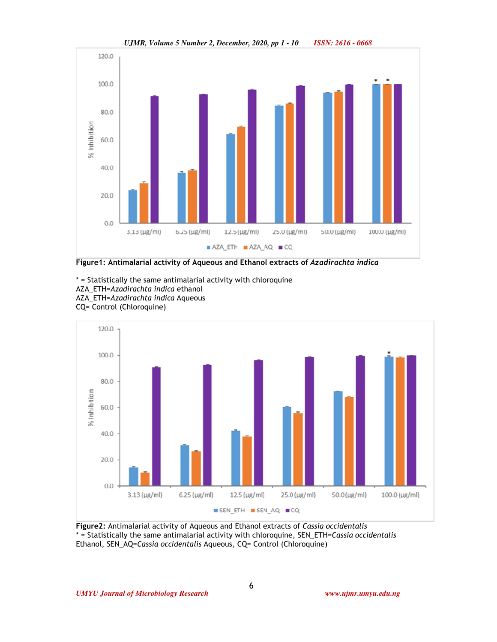

*UJMR, Volume 5 Number 2, December, 2020, pp 1 - 10 ISSN: 2616 - 0668*

**Figure1: Antimalarial activity of Aqueous and Ethanol extracts of** *Azadirachta indica*

\* = Statistically the same antimalarial activity with chloroquine AZA\_ETH=*Azadirachta indica* ethanol AZA\_ETH=*Azadirachta indica* Aqueous CQ= Control (Chloroquine)



**Figure2:** Antimalarial activity of Aqueous and Ethanol extracts of *Cassia occidentalis* \* = Statistically the same antimalarial activity with chloroquine, SEN\_ETH=*Cassia occidentalis*  Ethanol, SEN\_AQ=*Cassia occidentalis* Aqueous, CQ= Control (Chloroquine)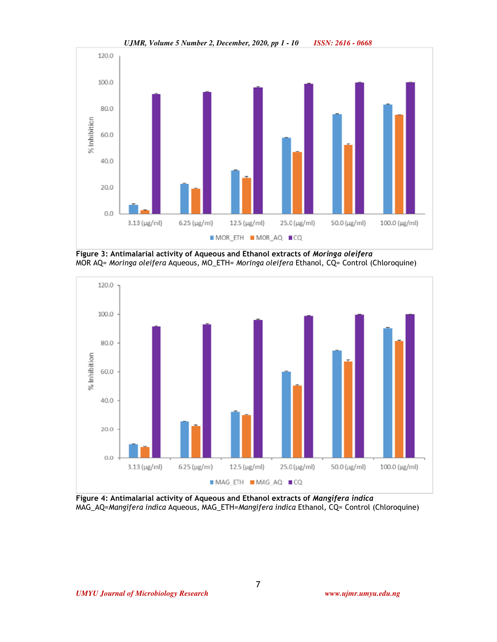

*UJMR, Volume 5 Number 2, December, 2020, pp 1 - 10 ISSN: 2616 - 0668*

**Figure 3: Antimalarial activity of Aqueous and Ethanol extracts of** *Moringa oleifera* MOR AQ= *Moringa oleifera* Aqueous, MO\_ETH= *Moringa oleifera* Ethanol, CQ= Control (Chloroquine)



**Figure 4: Antimalarial activity of Aqueous and Ethanol extracts of** *Mangifera indica* MAG\_AQ=*Mangifera indica* Aqueous, MAG\_ETH=*Mangifera indica* Ethanol, CQ= Control (Chloroquine)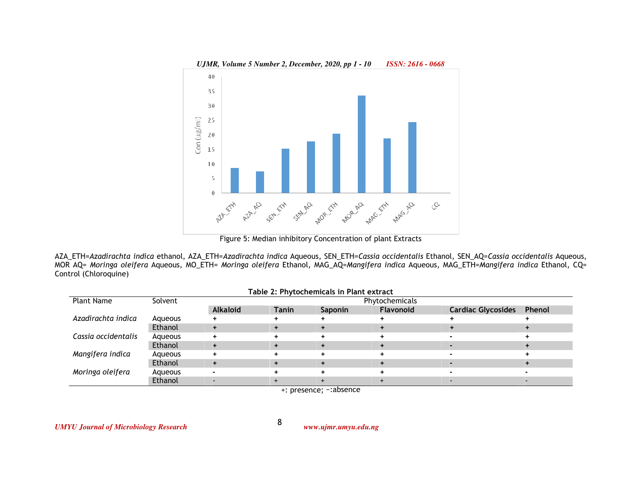

AZA\_ETH=*Azadirachta indica* ethanol, AZA\_ETH=*Azadirachta indica* Aqueous, SEN\_ETH=*Cassia occidentalis* Ethanol, SEN\_AQ=*Cassia occidentalis* Aqueous, MOR AQ= *Moringa oleifera* Aqueous, MO\_ETH= *Moringa oleifera* Ethanol, MAG\_AQ=*Mangifera indica* Aqueous, MAG\_ETH=*Mangifera indica* Ethanol, CQ= Control (Chloroquine)

|                     |         |                 |              | Table 2: Phytochemicals in Plant extract |           |                           |        |  |  |  |  |
|---------------------|---------|-----------------|--------------|------------------------------------------|-----------|---------------------------|--------|--|--|--|--|
| <b>Plant Name</b>   | Solvent | Phytochemicals  |              |                                          |           |                           |        |  |  |  |  |
|                     |         | <b>Alkaloid</b> | <b>Tanin</b> | <b>Saponin</b>                           | Flavonoid | <b>Cardiac Glycosides</b> | Phenol |  |  |  |  |
| Azadirachta indica  | Agueous |                 |              |                                          |           |                           |        |  |  |  |  |
|                     | Ethanol |                 |              |                                          |           |                           |        |  |  |  |  |
| Cassia occidentalis | Agueous |                 |              |                                          |           |                           |        |  |  |  |  |
|                     | Ethanol |                 |              |                                          |           |                           |        |  |  |  |  |
| Mangifera indica    | Agueous |                 |              |                                          |           |                           |        |  |  |  |  |
|                     | Ethanol |                 |              |                                          |           |                           |        |  |  |  |  |
| Moringa oleifera    | Aqueous |                 |              |                                          |           |                           |        |  |  |  |  |
|                     | Ethanol |                 |              |                                          |           |                           |        |  |  |  |  |

+: presence; -:absence

8

*UMYU Journal of Microbiology Research www.ujmr.umyu.edu.ng*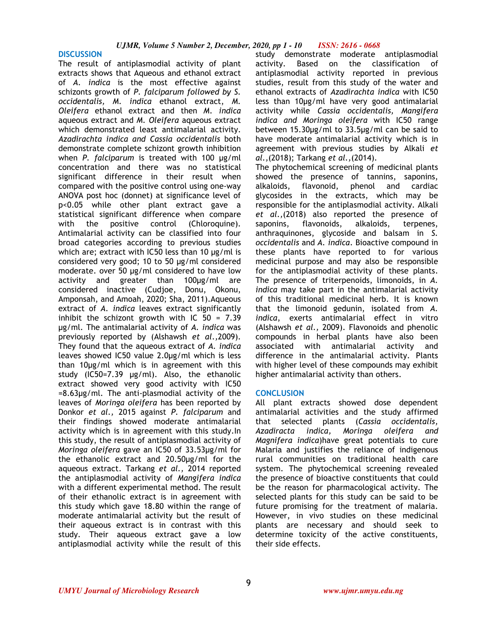#### **DISCUSSION**

The result of antiplasmodial activity of plant extracts shows that Aqueous and ethanol extract of *A. indica* is the most effective against schizonts growth of *P. falciparum followed by S. occidentalis, M. indica* ethanol extract, *M. Oleifera* ethanol extract and then *M. indica*  aqueous extract and *M. Oleifera* aqueous extract which demonstrated least antimalarial activity. *Azadirachta indica and Cassia occidentalis* both demonstrate complete schizont growth inhibition when *P. falciparum* is treated with 100 µg/ml concentration and there was no statistical significant difference in their result when compared with the positive control using one-way ANOVA post hoc (donnet) at significance level of p<0.05 while other plant extract gave a statistical significant difference when compare with the positive control (Chloroquine). Antimalarial activity can be classified into four broad categories according to previous studies which are; extract with IC50 less than 10 µg/ml is considered very good; 10 to 50 µg/ml considered moderate. over 50 µg/ml considered to have low activity and greater than 100µg/ml are considered inactive (Cudjoe, Donu, Okonu, Amponsah, and Amoah, 2020; Sha, 2011).Aqueous extract of *A. indica* leaves extract significantly inhibit the schizont growth with IC 50 = 7.39 µg/ml. The antimalarial activity of *A. indica* was previously reported by (Alshawsh *et al.,*2009). They found that the aqueous extract of *A. indica* leaves showed IC50 value 2.0µg/ml which is less than 10µg/ml which is in agreement with this study (IC50=7.39 µg/ml). Also, the ethanolic extract showed very good activity with IC50  $=8.63\mu g/ml$ . The anti-plasmodial activity of the leaves of *Moringa oleifera* has been reported by Donkor *et al.,* 2015 against *P. falciparum* and their findings showed moderate antimalarial activity which is in agreement with this study.In this study, the result of antiplasmodial activity of *Moringa oleifera* gave an IC50 of 33.53µg/ml for the ethanolic extract and 20.50µg/ml for the aqueous extract. Tarkang *et al.,* 2014 reported the antiplasmodial activity of *Mangifera indica* with a different experimental method. The result of their ethanolic extract is in agreement with this study which gave 18.80 within the range of moderate antimalarial activity but the result of their aqueous extract is in contrast with this study. Their aqueous extract gave a low antiplasmodial activity while the result of this

study demonstrate moderate antiplasmodial activity. Based on the classification of antiplasmodial activity reported in previous studies, result from this study of the water and ethanol extracts of *Azadirachta indica* with IC50 less than 10µg/ml have very good antimalarial activity while *Cassia occidentalis, Mangifera indica and Moringa oleifera* with IC50 range between 15.30µg/ml to 33.5µg/ml can be said to have moderate antimalarial activity which is in agreement with previous studies by Alkali *et al.,*(2018); Tarkang *et al.,*(2014).

The phytochemical screening of medicinal plants showed the presence of tannins, saponins, alkaloids, flavonoid, phenol and cardiac glycosides in the extracts, which may be responsible for the antiplasmodial activity. Alkali *et al.,*(2018) also reported the presence of saponins, flavonoids, alkaloids, terpenes, anthraquinones, glycoside and balsam in *S. occidentalis* and *A. indica*. Bioactive compound in these plants have reported to for various medicinal purpose and may also be responsible for the antiplasmodial activity of these plants. The presence of triterpenoids, limonoids, in *A. indica* may take part in the antimalarial activity of this traditional medicinal herb. It is known that the limonoid gedunin, isolated from *A. indica*, exerts antimalarial effect in vitro (Alshawsh *et al.,* 2009). Flavonoids and phenolic compounds in herbal plants have also been associated with antimalarial activity and difference in the antimalarial activity. Plants with higher level of these compounds may exhibit higher antimalarial activity than others.

#### **CONCLUSION**

All plant extracts showed dose dependent antimalarial activities and the study affirmed that selected plants (*Cassia occidentalis, Azadiracta indica, Moringa oleifera and Magnifera indica*)have great potentials to cure Malaria and justifies the reliance of indigenous rural communities on traditional health care system. The phytochemical screening revealed the presence of bioactive constituents that could be the reason for pharmacological activity. The selected plants for this study can be said to be future promising for the treatment of malaria. However, in vivo studies on these medicinal plants are necessary and should seek to determine toxicity of the active constituents, their side effects.